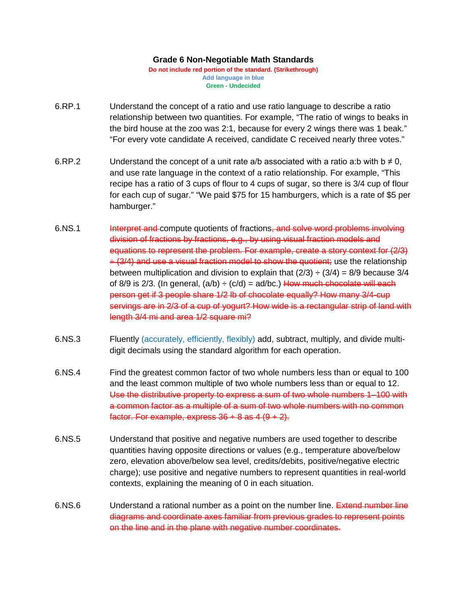## **Grade 6 Non-Negotiable Math Standards**

**Do not include red portion of the standard. (Strikethrough) Add language in blue Green - Undecided**

- 6.RP.1 Understand the concept of a ratio and use ratio language to describe a ratio relationship between two quantities. For example, "The ratio of wings to beaks in the bird house at the zoo was 2:1, because for every 2 wings there was 1 beak." "For every vote candidate A received, candidate C received nearly three votes."
- 6.RP.2 Understand the concept of a unit rate a/b associated with a ratio a:b with  $b \neq 0$ , and use rate language in the context of a ratio relationship. For example, "This recipe has a ratio of 3 cups of flour to 4 cups of sugar, so there is 3/4 cup of flour for each cup of sugar." "We paid \$75 for 15 hamburgers, which is a rate of \$5 per hamburger."
- 6.NS.1 **Interpret and compute quotients of fractions<del>, and solve word problems involving</del>** division of fractions by fractions, e.g., by using visual fraction models and equations to represent the problem. For example, create a story context for (2/3)  $\div$  (3/4) and use a visual fraction model to show the quotient; use the relationship between multiplication and division to explain that  $(2/3) \div (3/4) = 8/9$  because 3/4 of 8/9 is 2/3. (In general,  $(a/b) \div (c/d) = ad/bc$ .) How much chocolate will each person get if 3 people share 1/2 lb of chocolate equally? How many 3/4-cup servings are in 2/3 of a cup of yogurt? How wide is a rectangular strip of land with length 3/4 mi and area 1/2 square mi?
- 6.NS.3 Fluently (accurately, efficiently, flexibly) add, subtract, multiply, and divide multidigit decimals using the standard algorithm for each operation.
- 6.NS.4 Find the greatest common factor of two whole numbers less than or equal to 100 and the least common multiple of two whole numbers less than or equal to 12. Use the distributive property to express a sum of two whole numbers 1–100 with a common factor as a multiple of a sum of two whole numbers with no common factor. For example, express  $36 + 8$  as  $4 (9 + 2)$ .
- 6.NS.5 Understand that positive and negative numbers are used together to describe quantities having opposite directions or values (e.g., temperature above/below zero, elevation above/below sea level, credits/debits, positive/negative electric charge); use positive and negative numbers to represent quantities in real-world contexts, explaining the meaning of 0 in each situation.
- 6.NS.6 Understand a rational number as a point on the number line. Extend number line diagrams and coordinate axes familiar from previous grades to represent points on the line and in the plane with negative number coordinates.